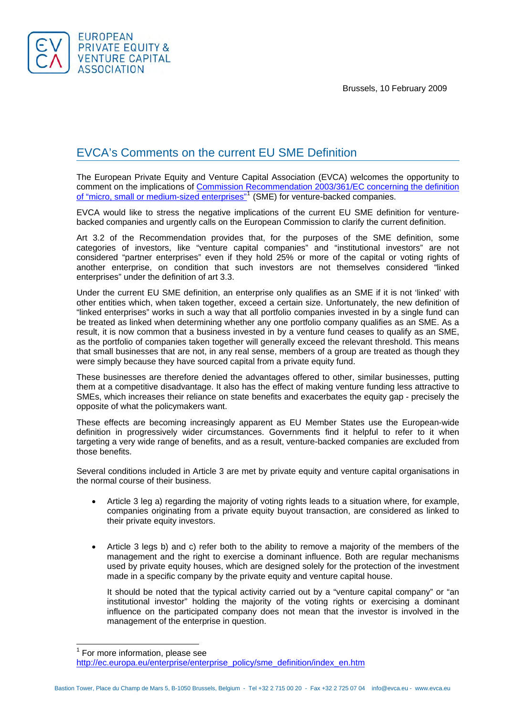Brussels, 10 February 2009



 $\overline{\phantom{a}}$ 

## EVCA's Comments on the current EU SME Definition

The European Private Equity and Venture Capital Association (EVCA) welcomes the opportunity to comment on the implications of Commission Recommendation 2003/361/EC concerning the definition [of "micro, small or medium-sized enterprises"](http://europa.eu/eur-lex/pri/en/oj/dat/2003/l_124/l_12420030520en00360041.pdf)<sup>[1](#page-0-0)</sup> (SME) for venture-backed companies.

EVCA would like to stress the negative implications of the current EU SME definition for venturebacked companies and urgently calls on the European Commission to clarify the current definition.

Art 3.2 of the Recommendation provides that, for the purposes of the SME definition, some categories of investors, like "venture capital companies" and "institutional investors" are not considered "partner enterprises" even if they hold 25% or more of the capital or voting rights of another enterprise, on condition that such investors are not themselves considered "linked enterprises" under the definition of art 3.3.

Under the current EU SME definition, an enterprise only qualifies as an SME if it is not 'linked' with other entities which, when taken together, exceed a certain size. Unfortunately, the new definition of "linked enterprises" works in such a way that all portfolio companies invested in by a single fund can be treated as linked when determining whether any one portfolio company qualifies as an SME. As a result, it is now common that a business invested in by a venture fund ceases to qualify as an SME, as the portfolio of companies taken together will generally exceed the relevant threshold. This means that small businesses that are not, in any real sense, members of a group are treated as though they were simply because they have sourced capital from a private equity fund.

These businesses are therefore denied the advantages offered to other, similar businesses, putting them at a competitive disadvantage. It also has the effect of making venture funding less attractive to SMEs, which increases their reliance on state benefits and exacerbates the equity gap - precisely the opposite of what the policymakers want.

These effects are becoming increasingly apparent as EU Member States use the European-wide definition in progressively wider circumstances. Governments find it helpful to refer to it when targeting a very wide range of benefits, and as a result, venture-backed companies are excluded from those benefits.

Several conditions included in Article 3 are met by private equity and venture capital organisations in the normal course of their business.

- Article 3 leg a) regarding the majority of voting rights leads to a situation where, for example, companies originating from a private equity buyout transaction, are considered as linked to their private equity investors.
- Article 3 legs b) and c) refer both to the ability to remove a majority of the members of the management and the right to exercise a dominant influence. Both are regular mechanisms used by private equity houses, which are designed solely for the protection of the investment made in a specific company by the private equity and venture capital house.

It should be noted that the typical activity carried out by a "venture capital company" or "an institutional investor" holding the majority of the voting rights or exercising a dominant influence on the participated company does not mean that the investor is involved in the management of the enterprise in question.

<span id="page-0-0"></span><sup>&</sup>lt;sup>1</sup> For more information, please see [http://ec.europa.eu/enterprise/enterprise\\_policy/sme\\_definition/index\\_en.htm](http://ec.europa.eu/enterprise/enterprise_policy/sme_definition/index_en.htm)